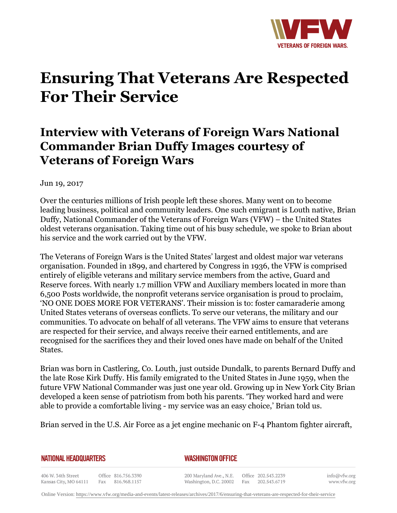

## **Ensuring That Veterans Are Respected For Their Service**

## **Interview with Veterans of Foreign Wars National Commander Brian Duffy Images courtesy of Veterans of Foreign Wars**

Jun 19, 2017

Over the centuries millions of Irish people left these shores. Many went on to become leading business, political and community leaders. One such emigrant is Louth native, Brian Duffy, National Commander of the Veterans of Foreign Wars (VFW) – the United States oldest veterans organisation. Taking time out of his busy schedule, we spoke to Brian about his service and the work carried out by the VFW.

The Veterans of Foreign Wars is the United States' largest and oldest major war veterans organisation. Founded in 1899, and chartered by Congress in 1936, the VFW is comprised entirely of eligible veterans and military service members from the active, Guard and Reserve forces. With nearly 1.7 million VFW and Auxiliary members located in more than 6,500 Posts worldwide, the nonprofit veterans service organisation is proud to proclaim, 'NO ONE DOES MORE FOR VETERANS'. Their mission is to: foster camaraderie among United States veterans of overseas conflicts. To serve our veterans, the military and our communities. To advocate on behalf of all veterans. The VFW aims to ensure that veterans are respected for their service, and always receive their earned entitlements, and are recognised for the sacrifices they and their loved ones have made on behalf of the United States.

Brian was born in Castlering, Co. Louth, just outside Dundalk, to parents Bernard Duffy and the late Rose Kirk Duffy. His family emigrated to the United States in June 1959, when the future VFW National Commander was just one year old. Growing up in New York City Brian developed a keen sense of patriotism from both his parents. 'They worked hard and were able to provide a comfortable living - my service was an easy choice,' Brian told us.

Brian served in the U.S. Air Force as a jet engine mechanic on F-4 Phantom fighter aircraft,

**NATIONAL HEADQUARTERS** 

*WASHINGTON OFFICE* 

406 W. 34th Street Office 816.756.3390 Kansas City, MO 64111 Fax 816.968.1157

200 Maryland Ave., N.E. Washington, D.C. 20002

Office 202.543.2239 Fax 202.543.6719 info@vfw.org www.vfw.org

Online Version:<https://www.vfw.org/media-and-events/latest-releases/archives/2017/6/ensuring-that-veterans-are-respected-for-their-service>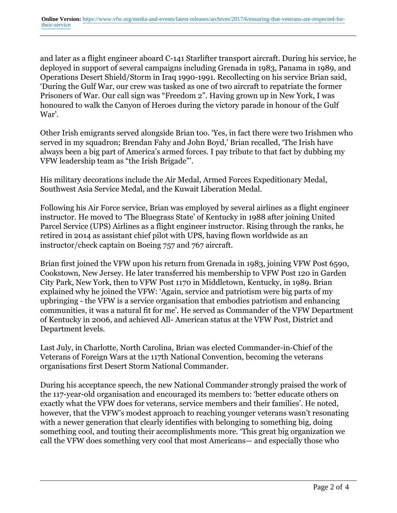and later as a flight engineer aboard C-141 Starlifter transport aircraft. During his service, he deployed in support of several campaigns including Grenada in 1983, Panama in 1989, and Operations Desert Shield/Storm in Iraq 1990-1991. Recollecting on his service Brian said, 'During the Gulf War, our crew was tasked as one of two aircraft to repatriate the former Prisoners of War. Our call sign was "Freedom 2". Having grown up in New York, I was honoured to walk the Canyon of Heroes during the victory parade in honour of the Gulf War'.

Other Irish emigrants served alongside Brian too. 'Yes, in fact there were two Irishmen who served in my squadron; Brendan Fahy and John Boyd,' Brian recalled, 'The Irish have always been a big part of America's armed forces. I pay tribute to that fact by dubbing my VFW leadership team as "the Irish Brigade"'.

His military decorations include the Air Medal, Armed Forces Expeditionary Medal, Southwest Asia Service Medal, and the Kuwait Liberation Medal.

Following his Air Force service, Brian was employed by several airlines as a flight engineer instructor. He moved to 'The Bluegrass State' of Kentucky in 1988 after joining United Parcel Service (UPS) Airlines as a flight engineer instructor. Rising through the ranks, he retired in 2014 as assistant chief pilot with UPS, having flown worldwide as an instructor/check captain on Boeing 757 and 767 aircraft.

Brian first joined the VFW upon his return from Grenada in 1983, joining VFW Post 6590, Cookstown, New Jersey. He later transferred his membership to VFW Post 120 in Garden City Park, New York, then to VFW Post 1170 in Middletown, Kentucky, in 1989. Brian explained why he joined the VFW: 'Again, service and patriotism were big parts of my upbringing - the VFW is a service organisation that embodies patriotism and enhancing communities, it was a natural fit for me'. He served as Commander of the VFW Department of Kentucky in 2006, and achieved All- American status at the VFW Post, District and Department levels.

Last July, in Charlotte, North Carolina, Brian was elected Commander-in-Chief of the Veterans of Foreign Wars at the 117th National Convention, becoming the veterans organisations first Desert Storm National Commander.

During his acceptance speech, the new National Commander strongly praised the work of the 117-year-old organisation and encouraged its members to: 'better educate others on exactly what the VFW does for veterans, service members and their families'. He noted, however, that the VFW's modest approach to reaching younger veterans wasn't resonating with a newer generation that clearly identifies with belonging to something big, doing something cool, and touting their accomplishments more. 'This great big organization we call the VFW does something very cool that most Americans— and especially those who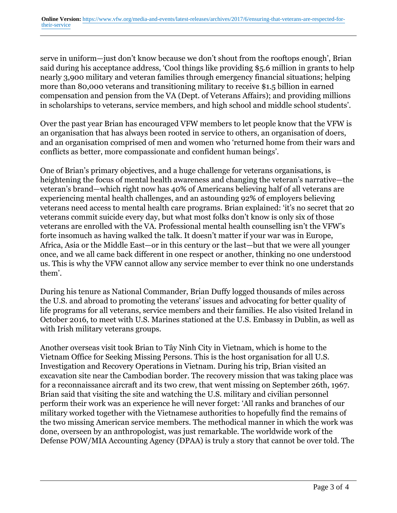serve in uniform—just don't know because we don't shout from the rooftops enough', Brian said during his acceptance address, 'Cool things like providing \$5.6 million in grants to help nearly 3,900 military and veteran families through emergency financial situations; helping more than 80,000 veterans and transitioning military to receive \$1.5 billion in earned compensation and pension from the VA (Dept. of Veterans Affairs); and providing millions in scholarships to veterans, service members, and high school and middle school students'.

Over the past year Brian has encouraged VFW members to let people know that the VFW is an organisation that has always been rooted in service to others, an organisation of doers, and an organisation comprised of men and women who 'returned home from their wars and conflicts as better, more compassionate and confident human beings'.

One of Brian's primary objectives, and a huge challenge for veterans organisations, is heightening the focus of mental health awareness and changing the veteran's narrative—the veteran's brand—which right now has 40% of Americans believing half of all veterans are experiencing mental health challenges, and an astounding 92% of employers believing veterans need access to mental health care programs. Brian explained: 'it's no secret that 20 veterans commit suicide every day, but what most folks don't know is only six of those veterans are enrolled with the VA. Professional mental health counselling isn't the VFW's forte insomuch as having walked the talk. It doesn't matter if your war was in Europe, Africa, Asia or the Middle East—or in this century or the last—but that we were all younger once, and we all came back different in one respect or another, thinking no one understood us. This is why the VFW cannot allow any service member to ever think no one understands them'.

During his tenure as National Commander, Brian Duffy logged thousands of miles across the U.S. and abroad to promoting the veterans' issues and advocating for better quality of life programs for all veterans, service members and their families. He also visited Ireland in October 2016, to meet with U.S. Marines stationed at the U.S. Embassy in Dublin, as well as with Irish military veterans groups.

Another overseas visit took Brian to Tây Ninh City in Vietnam, which is home to the Vietnam Office for Seeking Missing Persons. This is the host organisation for all U.S. Investigation and Recovery Operations in Vietnam. During his trip, Brian visited an excavation site near the Cambodian border. The recovery mission that was taking place was for a reconnaissance aircraft and its two crew, that went missing on September 26th, 1967. Brian said that visiting the site and watching the U.S. military and civilian personnel perform their work was an experience he will never forget: 'All ranks and branches of our military worked together with the Vietnamese authorities to hopefully find the remains of the two missing American service members. The methodical manner in which the work was done, overseen by an anthropologist, was just remarkable. The worldwide work of the Defense POW/MIA Accounting Agency (DPAA) is truly a story that cannot be over told. The